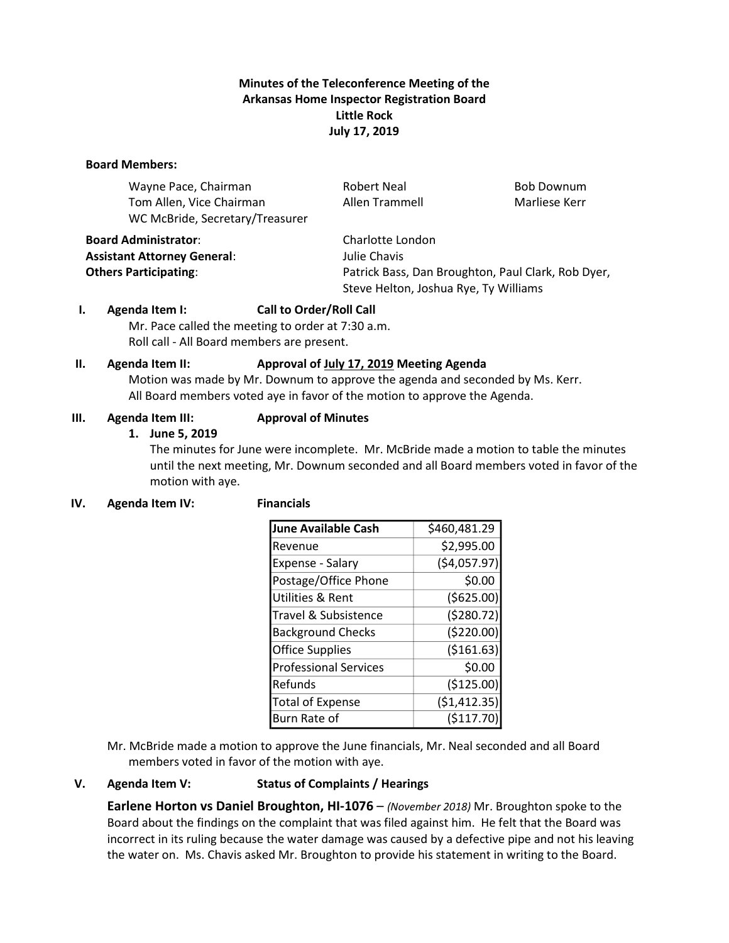# **Minutes of the Teleconference Meeting of the Arkansas Home Inspector Registration Board Little Rock July 17, 2019**

#### **Board Members:**

| Wayne Pace, Chairman                                        | <b>Robert Neal</b>                                 | <b>Bob Downum</b> |
|-------------------------------------------------------------|----------------------------------------------------|-------------------|
| Tom Allen, Vice Chairman<br>WC McBride, Secretary/Treasurer | Allen Trammell                                     | Marliese Kerr     |
| <b>Board Administrator:</b>                                 | Charlotte London                                   |                   |
| <b>Assistant Attorney General:</b>                          | Julie Chavis                                       |                   |
| <b>Others Participating:</b>                                | Patrick Bass, Dan Broughton, Paul Clark, Rob Dyer, |                   |

## **I. Agenda Item I: Call to Order/Roll Call**

Mr. Pace called the meeting to order at 7:30 a.m. Roll call - All Board members are present.

#### **II. Agenda Item II: Approval of July 17, 2019 Meeting Agenda**

Motion was made by Mr. Downum to approve the agenda and seconded by Ms. Kerr. All Board members voted aye in favor of the motion to approve the Agenda.

#### **III. Agenda Item III: Approval of Minutes**

#### **1. June 5, 2019**

The minutes for June were incomplete. Mr. McBride made a motion to table the minutes until the next meeting, Mr. Downum seconded and all Board members voted in favor of the motion with aye.

Steve Helton, Joshua Rye, Ty Williams

## **IV. Agenda Item IV: Financials**

| <b>June Available Cash</b>   | \$460,481.29  |
|------------------------------|---------------|
| Revenue                      | \$2,995.00    |
| Expense - Salary             | (54,057.97)   |
| Postage/Office Phone         | \$0.00        |
| <b>Utilities &amp; Rent</b>  | ( \$625.00)   |
| Travel & Subsistence         | (5280.72)     |
| <b>Background Checks</b>     | ( \$220.00)   |
| <b>Office Supplies</b>       | ( \$161.63)   |
| <b>Professional Services</b> | \$0.00        |
| Refunds                      | (\$125.00)    |
| <b>Total of Expense</b>      | ( \$1,412.35) |
| Burn Rate of                 | (5117.70)     |

Mr. McBride made a motion to approve the June financials, Mr. Neal seconded and all Board members voted in favor of the motion with aye.

## **V. Agenda Item V: Status of Complaints / Hearings**

**Earlene Horton vs Daniel Broughton, HI-1076** – *(November 2018)* Mr. Broughton spoke to the Board about the findings on the complaint that was filed against him. He felt that the Board was incorrect in its ruling because the water damage was caused by a defective pipe and not his leaving the water on. Ms. Chavis asked Mr. Broughton to provide his statement in writing to the Board.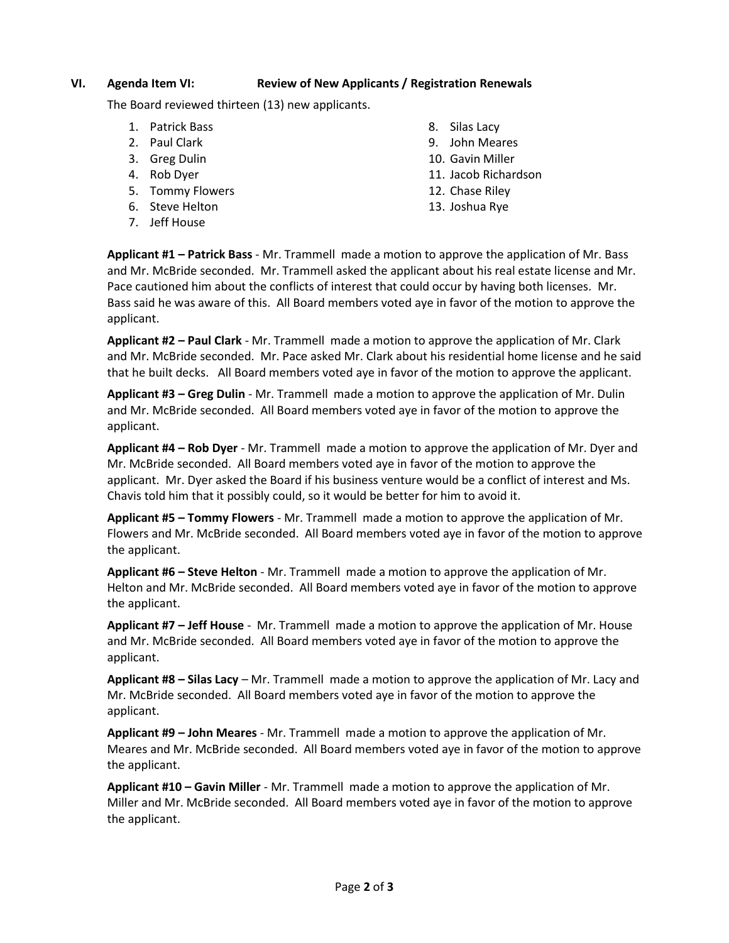### **VI. Agenda Item VI: Review of New Applicants / Registration Renewals**

The Board reviewed thirteen (13) new applicants.

- 1. Patrick Bass
- 2. Paul Clark
- 3. Greg Dulin
- 4. Rob Dyer
- 5. Tommy Flowers
- 6. Steve Helton
- 7. Jeff House
- 8. Silas Lacy
- 9. John Meares
- 10. Gavin Miller
- 11. Jacob Richardson
- 12. Chase Riley
- 13. Joshua Rye

**Applicant #1 – Patrick Bass** - Mr. Trammell made a motion to approve the application of Mr. Bass and Mr. McBride seconded. Mr. Trammell asked the applicant about his real estate license and Mr. Pace cautioned him about the conflicts of interest that could occur by having both licenses. Mr. Bass said he was aware of this. All Board members voted aye in favor of the motion to approve the applicant.

**Applicant #2 – Paul Clark** - Mr. Trammell made a motion to approve the application of Mr. Clark and Mr. McBride seconded. Mr. Pace asked Mr. Clark about his residential home license and he said that he built decks. All Board members voted aye in favor of the motion to approve the applicant.

**Applicant #3 – Greg Dulin** - Mr. Trammell made a motion to approve the application of Mr. Dulin and Mr. McBride seconded. All Board members voted aye in favor of the motion to approve the applicant.

**Applicant #4 – Rob Dyer** - Mr. Trammell made a motion to approve the application of Mr. Dyer and Mr. McBride seconded. All Board members voted aye in favor of the motion to approve the applicant. Mr. Dyer asked the Board if his business venture would be a conflict of interest and Ms. Chavis told him that it possibly could, so it would be better for him to avoid it.

**Applicant #5 – Tommy Flowers** - Mr. Trammell made a motion to approve the application of Mr. Flowers and Mr. McBride seconded. All Board members voted aye in favor of the motion to approve the applicant.

**Applicant #6 – Steve Helton** - Mr. Trammell made a motion to approve the application of Mr. Helton and Mr. McBride seconded. All Board members voted aye in favor of the motion to approve the applicant.

**Applicant #7 – Jeff House** - Mr. Trammell made a motion to approve the application of Mr. House and Mr. McBride seconded. All Board members voted aye in favor of the motion to approve the applicant.

**Applicant #8 – Silas Lacy** – Mr. Trammell made a motion to approve the application of Mr. Lacy and Mr. McBride seconded. All Board members voted aye in favor of the motion to approve the applicant.

**Applicant #9 – John Meares** - Mr. Trammell made a motion to approve the application of Mr. Meares and Mr. McBride seconded. All Board members voted aye in favor of the motion to approve the applicant.

**Applicant #10 – Gavin Miller** - Mr. Trammell made a motion to approve the application of Mr. Miller and Mr. McBride seconded. All Board members voted aye in favor of the motion to approve the applicant.